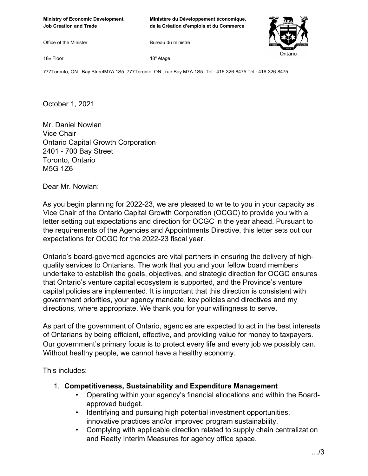**Ministère du Développement économique, de la Création d'emplois et du Commerce** 

Office of the Minister

Bureau du ministre



18th Floor

18e étage

777Toronto, ON Bay StreetM7A 1S5 777Toronto, ON , rue Bay M7A 1S5 Tel.: 416-326-8475 Tél.: 416-326-8475

October 1, 2021

Mr. Daniel Nowlan Vice Chair Ontario Capital Growth Corporation 2401 - 700 Bay Street Toronto, Ontario M5G 1Z6

Dear Mr. Nowlan:

As you begin planning for 2022-23, we are pleased to write to you in your capacity as Vice Chair of the Ontario Capital Growth Corporation (OCGC) to provide you with a letter setting out expectations and direction for OCGC in the year ahead. Pursuant to the requirements of the Agencies and Appointments Directive, this letter sets out our expectations for OCGC for the 2022-23 fiscal year.

Ontario's board-governed agencies are vital partners in ensuring the delivery of highquality services to Ontarians. The work that you and your fellow board members undertake to establish the goals, objectives, and strategic direction for OCGC ensures that Ontario's venture capital ecosystem is supported, and the Province's venture capital policies are implemented. It is important that this direction is consistent with government priorities, your agency mandate, key policies and directives and my directions, where appropriate. We thank you for your willingness to serve.

As part of the government of Ontario, agencies are expected to act in the best interests of Ontarians by being efficient, effective, and providing value for money to taxpayers. Our government's primary focus is to protect every life and every job we possibly can. Without healthy people, we cannot have a healthy economy.

This includes:

- 1. **Competitiveness, Sustainability and Expenditure Management**
	- Operating within your agency's financial allocations and within the Boardapproved budget.
	- Identifying and pursuing high potential investment opportunities, innovative practices and/or improved program sustainability.
	- Complying with applicable direction related to supply chain centralization and Realty Interim Measures for agency office space.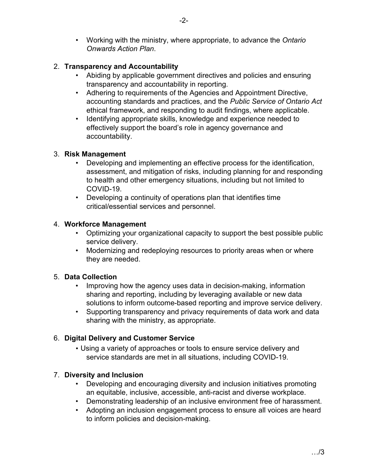• Working with the ministry, where appropriate, to advance the *Ontario Onwards Action Plan*.

# 2. **Transparency and Accountability**

- Abiding by applicable government directives and policies and ensuring transparency and accountability in reporting.
- Adhering to requirements of the Agencies and Appointment Directive, accounting standards and practices, and the *Public Service of Ontario Act* ethical framework, and responding to audit findings, where applicable.
- Identifying appropriate skills, knowledge and experience needed to effectively support the board's role in agency governance and accountability.

## 3. **Risk Management**

- Developing and implementing an effective process for the identification, assessment, and mitigation of risks, including planning for and responding to health and other emergency situations, including but not limited to COVID-19.
- Developing a continuity of operations plan that identifies time critical/essential services and personnel.

## 4. **Workforce Management**

- Optimizing your organizational capacity to support the best possible public service delivery.
- Modernizing and redeploying resources to priority areas when or where they are needed.

## 5. **Data Collection**

- Improving how the agency uses data in decision-making, information sharing and reporting, including by leveraging available or new data solutions to inform outcome-based reporting and improve service delivery.
- Supporting transparency and privacy requirements of data work and data sharing with the ministry, as appropriate.

## 6. **Digital Delivery and Customer Service**

• Using a variety of approaches or tools to ensure service delivery and service standards are met in all situations, including COVID-19.

## 7. **Diversity and Inclusion**

- Developing and encouraging diversity and inclusion initiatives promoting an equitable, inclusive, accessible, anti-racist and diverse workplace.
- Demonstrating leadership of an inclusive environment free of harassment.
- Adopting an inclusion engagement process to ensure all voices are heard to inform policies and decision-making.